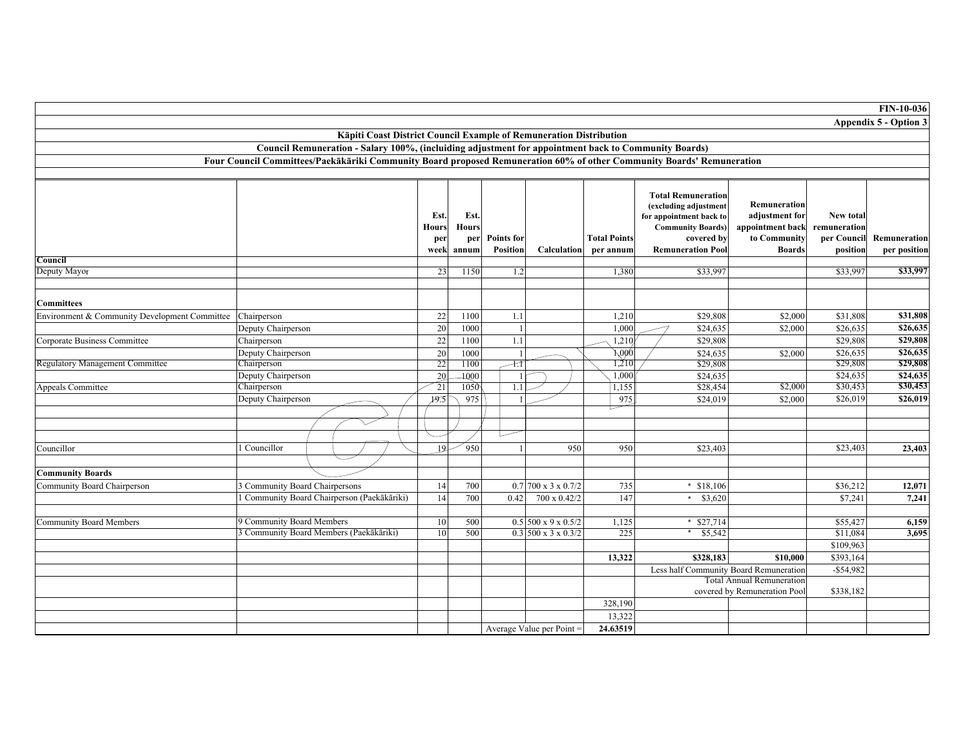|                                                           |                                                                                                                       |                             |                             |                   |                           |                         |                                                                                                                         |                                                                            |                                                 | <b>FIN-10-036</b>     |
|-----------------------------------------------------------|-----------------------------------------------------------------------------------------------------------------------|-----------------------------|-----------------------------|-------------------|---------------------------|-------------------------|-------------------------------------------------------------------------------------------------------------------------|----------------------------------------------------------------------------|-------------------------------------------------|-----------------------|
|                                                           |                                                                                                                       |                             |                             |                   |                           |                         |                                                                                                                         |                                                                            |                                                 | Appendix 5 - Option 3 |
|                                                           | Kāpiti Coast District Council Example of Remuneration Distribution                                                    |                             |                             |                   |                           |                         |                                                                                                                         |                                                                            |                                                 |                       |
|                                                           | Council Remuneration - Salary 100%, (incluiding adjustment for appointment back to Community Boards)                  |                             |                             |                   |                           |                         |                                                                                                                         |                                                                            |                                                 |                       |
|                                                           | Four Council Committees/Paekākāriki Community Board proposed Remuneration 60% of other Community Boards' Remuneration |                             |                             |                   |                           |                         |                                                                                                                         |                                                                            |                                                 |                       |
|                                                           |                                                                                                                       |                             |                             |                   |                           |                         |                                                                                                                         |                                                                            |                                                 |                       |
|                                                           |                                                                                                                       |                             |                             |                   |                           |                         |                                                                                                                         |                                                                            |                                                 |                       |
|                                                           |                                                                                                                       | Est.<br><b>Hours</b><br>per | Est.<br><b>Hours</b><br>per | <b>Points for</b> |                           | <b>Total Points</b>     | <b>Total Remuneration</b><br>(excluding adjustment<br>for appointment back to<br><b>Community Boards)</b><br>covered by | Remuneration<br>adjustment for<br>appointment back<br>to Community         | <b>New total</b><br>remuneration<br>per Council | Remuneration          |
|                                                           |                                                                                                                       |                             |                             |                   |                           |                         |                                                                                                                         |                                                                            |                                                 |                       |
|                                                           |                                                                                                                       |                             |                             |                   |                           |                         |                                                                                                                         |                                                                            |                                                 |                       |
|                                                           |                                                                                                                       |                             |                             |                   |                           |                         |                                                                                                                         |                                                                            |                                                 |                       |
|                                                           |                                                                                                                       |                             |                             |                   |                           |                         |                                                                                                                         |                                                                            |                                                 |                       |
|                                                           |                                                                                                                       | week                        | annum                       | <b>Position</b>   | Calculation               | per annum               | <b>Remuneration Pool</b>                                                                                                | <b>Boards</b>                                                              | position                                        | per position          |
| Council                                                   |                                                                                                                       |                             |                             |                   |                           |                         |                                                                                                                         |                                                                            |                                                 |                       |
| Deputy Mayor                                              |                                                                                                                       | 23                          | 1150                        | 1.2               |                           | 1,380                   | \$33,997                                                                                                                |                                                                            | \$33.997                                        | \$33,99               |
|                                                           |                                                                                                                       |                             |                             |                   |                           |                         |                                                                                                                         |                                                                            |                                                 |                       |
| <b>Committees</b>                                         |                                                                                                                       |                             |                             |                   |                           |                         |                                                                                                                         |                                                                            |                                                 |                       |
| Environment & Community Development Committee Chairperson |                                                                                                                       | $22\,$                      | 1100                        | 1.1               |                           | 1,210                   | \$29,808                                                                                                                | \$2,000                                                                    | \$31,808                                        | \$31,808              |
|                                                           | Deputy Chairperson                                                                                                    | 20                          | 1000                        |                   |                           | 1,000                   | \$24,635                                                                                                                | \$2,000                                                                    | \$26,635                                        | \$26,635              |
| Corporate Business Committee                              | Chairperson                                                                                                           | 22                          | 1100                        | 1.1               |                           | 1,210                   | \$29,808                                                                                                                |                                                                            | \$29,808                                        | \$29,808              |
|                                                           | Deputy Chairperson                                                                                                    | $20\,$                      | 1000                        |                   |                           | $\overline{\lambda}000$ | \$24,635                                                                                                                | \$2,000                                                                    | \$26,635                                        | \$26,635              |
| <b>Regulatory Management Committee</b>                    | Chairperson                                                                                                           | 22                          | 1100                        | $+1$              |                           | 1,210                   | \$29,808                                                                                                                |                                                                            | \$29,808                                        | \$29,808              |
|                                                           | Deputy Chairperson                                                                                                    | 20                          | 1000                        |                   |                           | 1,000                   | \$24,635                                                                                                                |                                                                            | \$24,635                                        | \$24,635              |
| <b>Appeals Committee</b>                                  | Chairperson                                                                                                           | 21                          | 1050                        | 1.1               |                           | 1,155                   | \$28,454                                                                                                                | \$2,000                                                                    | \$30,453                                        | \$30,453              |
|                                                           | Deputy Chairperson                                                                                                    | 19.5                        | 975                         |                   |                           | 975                     | \$24,019                                                                                                                | \$2,000                                                                    | \$26,019                                        | \$26,01               |
|                                                           |                                                                                                                       |                             |                             |                   |                           |                         |                                                                                                                         |                                                                            |                                                 |                       |
|                                                           |                                                                                                                       |                             |                             |                   |                           |                         |                                                                                                                         |                                                                            |                                                 |                       |
|                                                           |                                                                                                                       |                             |                             |                   |                           |                         |                                                                                                                         |                                                                            |                                                 |                       |
| Councillor                                                | Councillor                                                                                                            | 19                          | $\degree$ 950               |                   | 950                       | 950                     | \$23,403                                                                                                                |                                                                            | \$23,403                                        | 23,403                |
|                                                           |                                                                                                                       |                             |                             |                   |                           |                         |                                                                                                                         |                                                                            |                                                 |                       |
| <b>Community Boards</b>                                   |                                                                                                                       |                             |                             |                   |                           |                         |                                                                                                                         |                                                                            |                                                 |                       |
|                                                           | 3 Community Board Chairpersons                                                                                        | 14                          | 700                         |                   | $0.7$ 700 x 3 x 0.7/2     | 735                     | * $$18,106$                                                                                                             |                                                                            | \$36,212                                        | 12,071                |
| Community Board Chairperson                               | Community Board Chairperson (Paekākāriki)                                                                             | 14                          | 700                         | 0.42              | 700 x 0.42/2              | 147                     | * $$3,620$                                                                                                              |                                                                            | \$7,241                                         | 7.241                 |
|                                                           |                                                                                                                       |                             |                             |                   |                           |                         |                                                                                                                         |                                                                            |                                                 |                       |
| <b>Community Board Members</b>                            | 9 Community Board Members                                                                                             | 10                          | 500                         |                   | $0.5$ 500 x 9 x 0.5/2     | 1,125                   | * $$27,714$                                                                                                             |                                                                            | \$55,427                                        | 6.159                 |
|                                                           | 3 Community Board Members (Paekākāriki)                                                                               | 10                          | 500                         |                   | $0.3$ 500 x 3 x 0.3/2     | 225                     | \$5,542                                                                                                                 |                                                                            | \$11,084                                        | 3,695                 |
|                                                           |                                                                                                                       |                             |                             |                   |                           |                         |                                                                                                                         |                                                                            | \$109,963                                       |                       |
|                                                           |                                                                                                                       |                             |                             |                   |                           | 13,322                  | \$328,183                                                                                                               | \$10,000                                                                   | \$393,164                                       |                       |
|                                                           |                                                                                                                       |                             |                             |                   |                           |                         |                                                                                                                         |                                                                            | $-$ \$54,982                                    |                       |
|                                                           |                                                                                                                       |                             |                             |                   |                           |                         |                                                                                                                         | Less half Community Board Remuneration<br><b>Total Annual Remuneration</b> |                                                 |                       |
|                                                           |                                                                                                                       |                             |                             |                   |                           |                         |                                                                                                                         | covered by Remuneration Pool                                               | \$338,182                                       |                       |
|                                                           |                                                                                                                       |                             |                             |                   |                           | 328,190                 |                                                                                                                         |                                                                            |                                                 |                       |
|                                                           |                                                                                                                       |                             |                             |                   |                           | 13,322                  |                                                                                                                         |                                                                            |                                                 |                       |
|                                                           |                                                                                                                       |                             |                             |                   | Average Value per Point = | 24.63519                |                                                                                                                         |                                                                            |                                                 |                       |